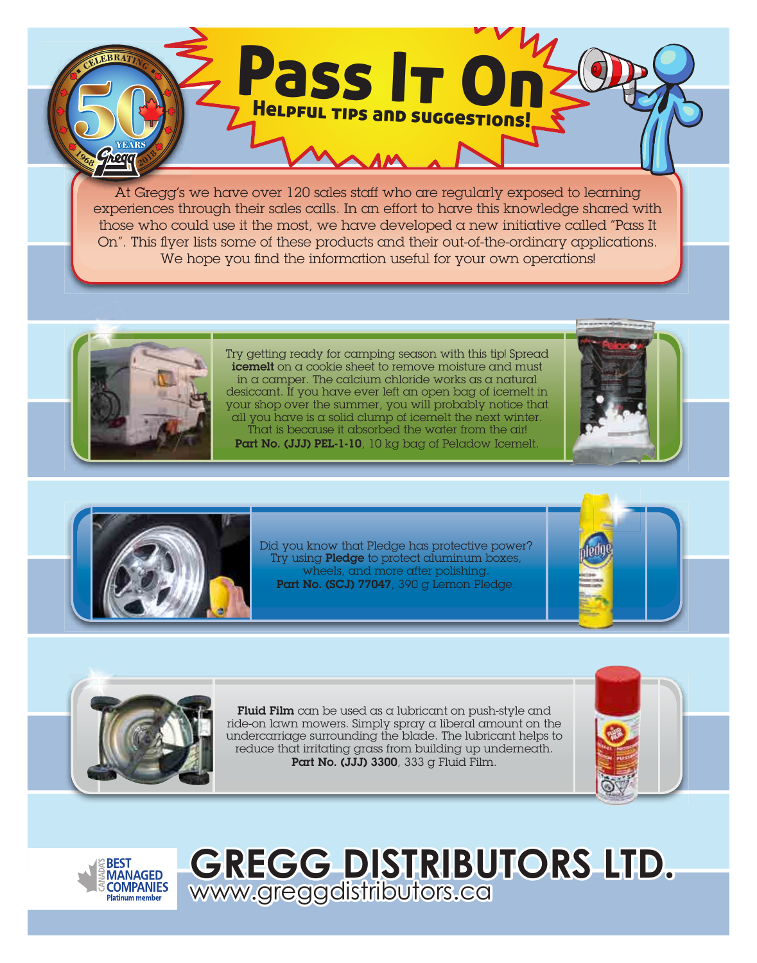At Gregg's we have over 120 sales staff who are regularly exposed to learning experiences through their sales calls. In an effort to have this knowledge shared with those who could use it the most, we have developed a new initiative called "Pass It On". This flyer lists some of these products and their out-of-the-ordinary applications. We hope you find the information useful for your own operations!

Pass It On

Helpful tips and suggestions!



Try getting ready for camping season with this tip! Spread icemelt on a cookie sheet to remove moisture and must in a camper. The calcium chloride works as a natural desiccant. If you have ever left an open bag of icemelt in your shop over the summer, you will probably notice that all you have is a solid clump of icemelt the next winter. That is because it absorbed the water from the air! Part No. (JJJ) PEL-1-10, 10 kg bag of Peladow Icemelt.





Did you know that Pledge has protective power? Try using **Pledge** to protect aluminum boxes, wheels, and more after polishing. Part No. (SCJ) 77047, 390 g Lemon Pledge.





**Fluid Film** can be used as a lubricant on push-style and ride-on lawn mowers. Simply spray a liberal amount on the undercarriage surrounding the blade. The lubricant helps to reduce that irritating grass from building up underneath. Part No. (JJJ) 3300, 333 g Fluid Film.

www.greggdistributors.ca

**GREGG DISTRIBUTORS LTD.**